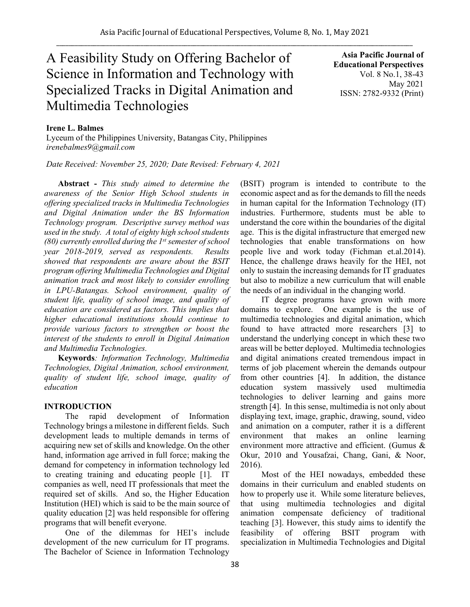# A Feasibility Study on Offering Bachelor of Science in Information and Technology with Specialized Tracks in Digital Animation and Multimedia Technologies

**Asia Pacific Journal of Educational Perspectives**  Vol. 8 No.1, 38-43 May 2021 ISSN: 2782-9332 (Print)

# **Irene L. Balmes**

Lyceum of the Philippines University, Batangas City, Philippines *irenebalmes9@gmail.com*

*Date Received: November 25, 2020; Date Revised: February 4, 2021*

**Abstract -** *This study aimed to determine the awareness of the Senior High School students in offering specialized tracks in Multimedia Technologies and Digital Animation under the BS Information Technology program. Descriptive survey method was used in the study. A total of eighty high school students (80) currently enrolled during the 1st semester of school year 2018-2019, served as respondents. Results showed that respondents are aware about the BSIT program offering Multimedia Technologies and Digital animation track and most likely to consider enrolling in LPU-Batangas. School environment, quality of student life, quality of school image, and quality of education are considered as factors. This implies that higher educational institutions should continue to provide various factors to strengthen or boost the interest of the students to enroll in Digital Animation and Multimedia Technologies.*

**Keywords***: Information Technology, Multimedia Technologies, Digital Animation, school environment, quality of student life, school image, quality of education*

# **INTRODUCTION**

The rapid development of Information Technology brings a milestone in different fields. Such development leads to multiple demands in terms of acquiring new set of skills and knowledge. On the other hand, information age arrived in full force; making the demand for competency in information technology led to creating training and educating people [1]. IT companies as well, need IT professionals that meet the required set of skills. And so, the Higher Education Institution (HEI) which is said to be the main source of quality education [2] was held responsible for offering programs that will benefit everyone.

One of the dilemmas for HEI's include development of the new curriculum for IT programs. The Bachelor of Science in Information Technology (BSIT) program is intended to contribute to the economic aspect and as for the demands to fill the needs in human capital for the Information Technology (IT) industries. Furthermore, students must be able to understand the core within the boundaries of the digital age. This is the digital infrastructure that emerged new technologies that enable transformations on how people live and work today (Fichman et.al.2014). Hence, the challenge draws heavily for the HEI, not only to sustain the increasing demands for IT graduates but also to mobilize a new curriculum that will enable the needs of an individual in the changing world.

IT degree programs have grown with more domains to explore. One example is the use of multimedia technologies and digital animation, which found to have attracted more researchers [3] to understand the underlying concept in which these two areas will be better deployed. Multimedia technologies and digital animations created tremendous impact in terms of job placement wherein the demands outpour from other countries [4]. In addition, the distance education system massively used multimedia technologies to deliver learning and gains more strength [4]. In this sense, multimedia is not only about displaying text, image, graphic, drawing, sound, video and animation on a computer, rather it is a different environment that makes an online learning environment more attractive and efficient. (Gumus & Okur, 2010 and Yousafzai, Chang, Gani, & Noor, 2016).

Most of the HEI nowadays, embedded these domains in their curriculum and enabled students on how to properly use it. While some literature believes, that using multimedia technologies and digital animation compensate deficiency of traditional teaching [3]. However, this study aims to identify the feasibility of offering BSIT program with specialization in Multimedia Technologies and Digital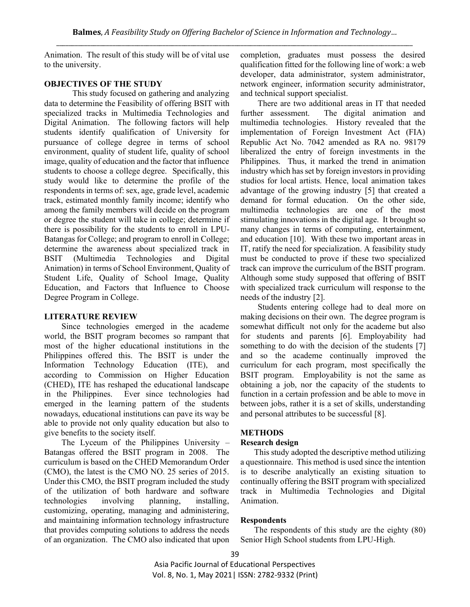Animation. The result of this study will be of vital use to the university.

### **OBJECTIVES OF THE STUDY**

This study focused on gathering and analyzing data to determine the Feasibility of offering BSIT with specialized tracks in Multimedia Technologies and Digital Animation. The following factors will help students identify qualification of University for pursuance of college degree in terms of school environment, quality of student life, quality of school image, quality of education and the factor that influence students to choose a college degree. Specifically, this study would like to determine the profile of the respondents in terms of: sex, age, grade level, academic track, estimated monthly family income; identify who among the family members will decide on the program or degree the student will take in college; determine if there is possibility for the students to enroll in LPU-Batangas for College; and program to enroll in College; determine the awareness about specialized track in BSIT (Multimedia Technologies and Digital Animation) in terms of School Environment, Quality of Student Life, Quality of School Image, Quality Education, and Factors that Influence to Choose Degree Program in College.

# **LITERATURE REVIEW**

Since technologies emerged in the academe world, the BSIT program becomes so rampant that most of the higher educational institutions in the Philippines offered this. The BSIT is under the Information Technology Education (ITE), and according to Commission on Higher Education (CHED), ITE has reshaped the educational landscape in the Philippines. Ever since technologies had emerged in the learning pattern of the students nowadays, educational institutions can pave its way be able to provide not only quality education but also to give benefits to the society itself.

The Lyceum of the Philippines University – Batangas offered the BSIT program in 2008. The curriculum is based on the CHED Memorandum Order (CMO), the latest is the CMO NO. 25 series of 2015. Under this CMO, the BSIT program included the study of the utilization of both hardware and software technologies involving planning, installing, customizing, operating, managing and administering, and maintaining information technology infrastructure that provides computing solutions to address the needs of an organization. The CMO also indicated that upon completion, graduates must possess the desired qualification fitted for the following line of work: a web developer, data administrator, system administrator, network engineer, information security administrator, and technical support specialist.

There are two additional areas in IT that needed further assessment. The digital animation and multimedia technologies. History revealed that the implementation of Foreign Investment Act (FIA) Republic Act No. 7042 amended as RA no. 98179 liberalized the entry of foreign investments in the Philippines. Thus, it marked the trend in animation industry which has set by foreign investors in providing studios for local artists. Hence, local animation takes advantage of the growing industry [5] that created a demand for formal education. On the other side, multimedia technologies are one of the most stimulating innovations in the digital age. It brought so many changes in terms of computing, entertainment, and education [10]. With these two important areas in IT, ratify the need for specialization. A feasibility study must be conducted to prove if these two specialized track can improve the curriculum of the BSIT program. Although some study supposed that offering of BSIT with specialized track curriculum will response to the needs of the industry [2].

Students entering college had to deal more on making decisions on their own. The degree program is somewhat difficult not only for the academe but also for students and parents [6]. Employability had something to do with the decision of the students [7] and so the academe continually improved the curriculum for each program, most specifically the BSIT program. Employability is not the same as obtaining a job, nor the capacity of the students to function in a certain profession and be able to move in between jobs, rather it is a set of skills, understanding and personal attributes to be successful [8].

# **METHODS**

#### **Research design**

This study adopted the descriptive method utilizing a questionnaire. This method is used since the intention is to describe analytically an existing situation to continually offering the BSIT program with specialized track in Multimedia Technologies and Digital Animation.

# **Respondents**

The respondents of this study are the eighty (80) Senior High School students from LPU-High.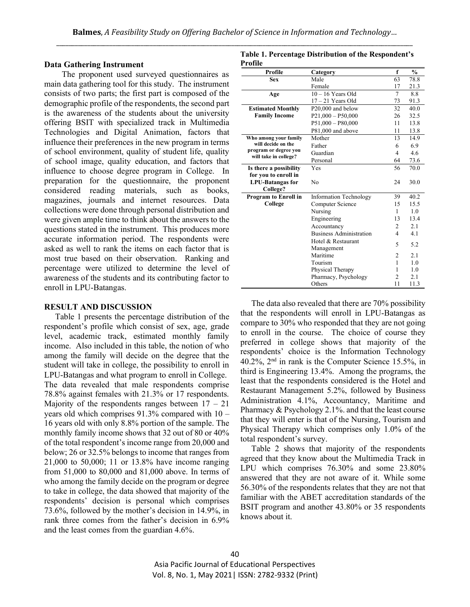#### **Data Gathering Instrument**

The proponent used surveyed questionnaires as main data gathering tool for this study. The instrument consists of two parts; the first part is composed of the demographic profile of the respondents, the second part is the awareness of the students about the university offering BSIT with specialized track in Multimedia Technologies and Digital Animation, factors that influence their preferences in the new program in terms of school environment, quality of student life, quality of school image, quality education, and factors that influence to choose degree program in College. In preparation for the questionnaire, the proponent considered reading materials, such as books, magazines, journals and internet resources. Data collections were done through personal distribution and were given ample time to think about the answers to the questions stated in the instrument. This produces more accurate information period. The respondents were asked as well to rank the items on each factor that is most true based on their observation. Ranking and percentage were utilized to determine the level of awareness of the students and its contributing factor to enroll in LPU-Batangas.

#### **RESULT AND DISCUSSION**

Table 1 presents the percentage distribution of the respondent's profile which consist of sex, age, grade level, academic track, estimated monthly family income. Also included in this table, the notion of who among the family will decide on the degree that the student will take in college, the possibility to enroll in LPU-Batangas and what program to enroll in College. The data revealed that male respondents comprise 78.8% against females with 21.3% or 17 respondents. Majority of the respondents ranges between  $17 - 21$ years old which comprises 91.3% compared with 10 – 16 years old with only 8.8% portion of the sample. The monthly family income shows that 32 out of 80 or 40% of the total respondent's income range from 20,000 and below; 26 or 32.5% belongs to income that ranges from 21,000 to 50,000; 11 or 13.8% have income ranging from 51,000 to 80,000 and 81,000 above. In terms of who among the family decide on the program or degree to take in college, the data showed that majority of the respondents' decision is personal which comprises 73.6%, followed by the mother's decision in 14.9%, in rank three comes from the father's decision in 6.9% and the least comes from the guardian 4.6%.

**Table 1. Percentage Distribution of the Respondent's Profile**

| Profile                  | Category                       | f              | $\frac{0}{0}$ |
|--------------------------|--------------------------------|----------------|---------------|
| <b>Sex</b>               | Male                           | 63             | 78.8          |
|                          | Female                         | 17             | 21.3          |
| Age                      | $10 - 16$ Years Old            | $\tau$         | 8.8           |
|                          | $17 - 21$ Years Old            | 73             | 91.3          |
| <b>Estimated Monthly</b> | P20,000 and below              | 32             | 40.0          |
| <b>Family Income</b>     | $P21,000 - P50,000$            | 26             | 32.5          |
|                          | $P51,000 - P80,000$            | 11             | 13.8          |
|                          | P81,000 and above              | 11             | 13.8          |
| Who among your family    | Mother                         | 13             | 14.9          |
| will decide on the       | Father                         | 6              | 6.9           |
| program or degree you    | Guardian                       | $\overline{4}$ | 4.6           |
| will take in college?    | Personal                       | 64             | 73.6          |
| Is there a possibility   | Yes                            | 56             | 70.0          |
| for you to enroll in     |                                |                |               |
| <b>LPU-Batangas for</b>  | No                             | 24             | 30.0          |
| College?                 |                                |                |               |
| Program to Enroll in     | <b>Information Technology</b>  | 39             | 40.2          |
| College                  | Computer Science               | 15             | 15.5          |
|                          | Nursing                        | 1              | 1.0           |
|                          | Engineering                    | 13             | 13.4          |
|                          | Accountancy                    | 2              | 2.1           |
|                          | <b>Business Administration</b> | 4              | 4.1           |
|                          | Hotel & Restaurant             | 5              | 5.2           |
|                          | Management                     |                |               |
|                          | Maritime                       | 2              | 2.1           |
|                          | Tourism                        | 1              | 1.0           |
|                          | Physical Therapy               | L              | 1.0           |
|                          | Pharmacy, Psychology           | $\overline{c}$ | 2.1           |
|                          | Others                         | 11             | 11.3          |

The data also revealed that there are 70% possibility that the respondents will enroll in LPU-Batangas as compare to 30% who responded that they are not going to enroll in the course. The choice of course they preferred in college shows that majority of the respondents' choice is the Information Technology 40.2%, 2 nd in rank is the Computer Science 15.5%, in third is Engineering 13.4%. Among the programs, the least that the respondents considered is the Hotel and Restaurant Management 5.2%, followed by Business Administration 4.1%, Accountancy, Maritime and Pharmacy & Psychology 2.1%. and that the least course that they will enter is that of the Nursing, Tourism and Physical Therapy which comprises only 1.0% of the total respondent's survey.

Table 2 shows that majority of the respondents agreed that they know about the Multimedia Track in LPU which comprises 76.30% and some 23.80% answered that they are not aware of it. While some 56.30% of the respondents relates that they are not that familiar with the ABET accreditation standards of the BSIT program and another 43.80% or 35 respondents knows about it.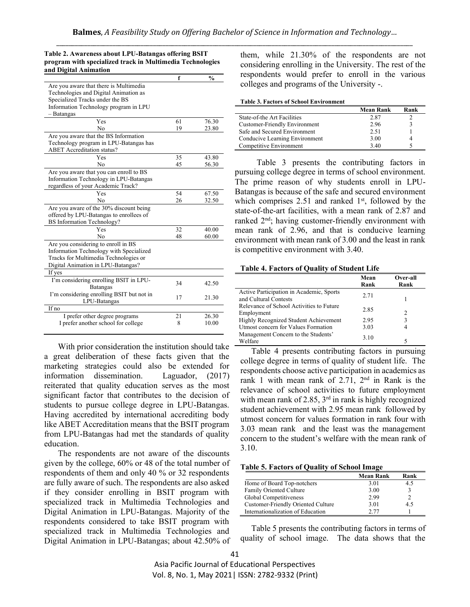|                                           | f  | $\frac{0}{0}$ |
|-------------------------------------------|----|---------------|
| Are you aware that there is Multimedia    |    |               |
| Technologies and Digital Animation as     |    |               |
| Specialized Tracks under the BS           |    |               |
| Information Technology program in LPU     |    |               |
| - Batangas                                |    |               |
| Yes                                       | 61 | 76.30         |
| No                                        | 19 | 23.80         |
| Are you aware that the BS Information     |    |               |
| Technology program in LPU-Batangas has    |    |               |
| <b>ABET</b> Accreditation status?         |    |               |
| Yes                                       | 35 | 43.80         |
| N <sub>0</sub>                            | 45 | 56.30         |
| Are you aware that you can enroll to BS   |    |               |
| Information Technology in LPU-Batangas    |    |               |
| regardless of your Academic Track?        |    |               |
| Yes                                       | 54 | 67.50         |
| N <sub>0</sub>                            | 26 | 32.50         |
| Are you aware of the 30% discount being   |    |               |
| offered by LPU-Batangas to enrollees of   |    |               |
| <b>BS</b> Information Technology?         |    |               |
| Yes                                       | 32 | 40.00         |
| N <sub>0</sub>                            | 48 | 60.00         |
| Are you considering to enroll in BS       |    |               |
| Information Technology with Specialized   |    |               |
| Tracks for Multimedia Technologies or     |    |               |
| Digital Animation in LPU-Batangas?        |    |               |
| If yes                                    |    |               |
| I'm considering enrolling BSIT in LPU-    | 34 | 42.50         |
| <b>Batangas</b>                           |    |               |
| I'm considering enrolling BSIT but not in | 17 | 21.30         |
| LPU-Batangas                              |    |               |
| If no                                     |    |               |
| I prefer other degree programs            | 21 | 26.30         |
| I prefer another school for college       | 8  | 10.00         |

**Table 2. Awareness about LPU-Batangas offering BSIT** 

With prior consideration the institution should take a great deliberation of these facts given that the marketing strategies could also be extended for information dissemination. Laguador, (2017) reiterated that quality education serves as the most significant factor that contributes to the decision of students to pursue college degree in LPU-Batangas. Having accredited by international accrediting body like ABET Accreditation means that the BSIT program from LPU-Batangas had met the standards of quality education.

The respondents are not aware of the discounts given by the college, 60% or 48 of the total number of respondents of them and only 40 % or 32 respondents are fully aware of such. The respondents are also asked if they consider enrolling in BSIT program with specialized track in Multimedia Technologies and Digital Animation in LPU-Batangas. Majority of the respondents considered to take BSIT program with specialized track in Multimedia Technologies and Digital Animation in LPU-Batangas; about 42.50% of them, while 21.30% of the respondents are not considering enrolling in the University. The rest of the respondents would prefer to enroll in the various colleges and programs of the University -.

#### **Table 3. Factors of School Environment**

|                                      | <b>Mean Rank</b> | Rank |
|--------------------------------------|------------------|------|
| State-of-the Art Facilities          | 2.87             |      |
| <b>Customer-Friendly Environment</b> | 2.96             |      |
| Safe and Secured Environment         | 2.51             |      |
| Conducive Learning Environment       | 3.00             |      |
| Competitive Environment              | 3.40             |      |

Table 3 presents the contributing factors in pursuing college degree in terms of school environment. The prime reason of why students enroll in LPU-Batangas is because of the safe and secured environment which comprises  $2.51$  and ranked  $1<sup>st</sup>$ , followed by the state-of-the-art facilities, with a mean rank of 2.87 and ranked 2nd; having customer-friendly environment with mean rank of 2.96, and that is conducive learning environment with mean rank of 3.00 and the least in rank is competitive environment with 3.40.

**Table 4. Factors of Quality of Student Life**

|                                                                   | Mean<br>Rank | Over-all<br>Rank |
|-------------------------------------------------------------------|--------------|------------------|
| Active Participation in Academic, Sports<br>and Cultural Contests | 2.71         |                  |
| Relevance of School Activities to Future<br>Employment            | 2.85         | $\mathcal{D}$    |
| Highly Recognized Student Achievement                             | 2.95         | 3                |
| Utmost concern for Values Formation                               | 3.03         | 4                |
| Management Concern to the Students'<br>Welfare                    | 3.10         |                  |

Table 4 presents contributing factors in pursuing college degree in terms of quality of student life. The respondents choose active participation in academics as rank 1 with mean rank of  $2.71$ ,  $2<sup>nd</sup>$  in Rank is the relevance of school activities to future employment with mean rank of 2.85,  $3<sup>rd</sup>$  in rank is highly recognized student achievement with 2.95 mean rank followed by utmost concern for values formation in rank four with 3.03 mean rank and the least was the management concern to the student's welfare with the mean rank of 3.10.

|  | <b>Table 5. Factors of Quality of School Image</b> |  |
|--|----------------------------------------------------|--|
|  |                                                    |  |

|                                    | <b>Mean Rank</b> | Rank         |
|------------------------------------|------------------|--------------|
| Home of Board Top-notchers         | 3.01             | 4.5          |
| Family Oriented Culture            | 3.00             | $\mathbf{R}$ |
| Global Competitiveness             | 2.99             |              |
| Customer-Friendly Oriented Culture | 3.01             | 45           |
| Internationalization of Education  | 2.77             |              |

Table 5 presents the contributing factors in terms of quality of school image. The data shows that the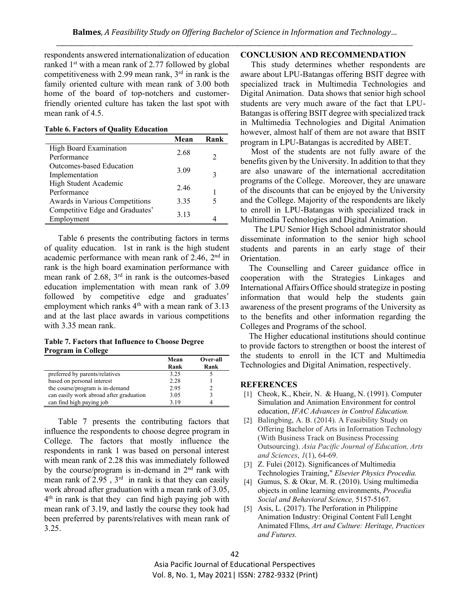respondents answered internationalization of education ranked 1st with a mean rank of 2.77 followed by global competitiveness with 2.99 mean rank,  $3<sup>rd</sup>$  in rank is the family oriented culture with mean rank of 3.00 both home of the board of top-notchers and customerfriendly oriented culture has taken the last spot with mean rank of 4.5.

**Table 6. Factors of Quality Education**

|                                 | Mean  | Rank          |
|---------------------------------|-------|---------------|
| High Board Examination          | 2.68  |               |
| Performance                     |       | $\mathcal{L}$ |
| Outcomes-based Education        | 3.09  |               |
| Implementation                  |       | 3             |
| High Student Academic           | 246   |               |
| Performance                     |       |               |
| Awards in Various Competitions  | 3.35  | 5             |
| Competitive Edge and Graduates' | 3 1 3 |               |
| Employment                      |       |               |

Table 6 presents the contributing factors in terms of quality education. 1st in rank is the high student academic performance with mean rank of  $2.46$ ,  $2<sup>nd</sup>$  in rank is the high board examination performance with mean rank of 2.68, 3 rd in rank is the outcomes-based education implementation with mean rank of 3.09 followed by competitive edge and graduates' employment which ranks 4<sup>th</sup> with a mean rank of 3.13 and at the last place awards in various competitions with 3.35 mean rank.

**Table 7. Factors that Influence to Choose Degree Program in College**

|                                         | Mean | Over-all |
|-----------------------------------------|------|----------|
|                                         | Rank | Rank     |
| preferred by parents/relatives          | 3.25 |          |
| based on personal interest              | 2.28 |          |
| the course/program is in-demand         | 2.95 |          |
| can easily work abroad after graduation | 3.05 |          |
| can find high paying job                | 3.19 |          |

Table 7 presents the contributing factors that influence the respondents to choose degree program in College. The factors that mostly influence the respondents in rank 1 was based on personal interest with mean rank of 2.28 this was immediately followed by the course/program is in-demand in  $2<sup>nd</sup>$  rank with mean rank of  $2.95$ ,  $3<sup>rd</sup>$  in rank is that they can easily work abroad after graduation with a mean rank of 3.05, 4 th in rank is that they can find high paying job with mean rank of 3.19, and lastly the course they took had been preferred by parents/relatives with mean rank of 3.25.

#### **CONCLUSION AND RECOMMENDATION**

 This study determines whether respondents are aware about LPU-Batangas offering BSIT degree with specialized track in Multimedia Technologies and Digital Animation. Data shows that senior high school students are very much aware of the fact that LPU-Batangas is offering BSIT degree with specialized track in Multimedia Technologies and Digital Animation however, almost half of them are not aware that BSIT program in LPU-Batangas is accredited by ABET.

 Most of the students are not fully aware of the benefits given by the University. In addition to that they are also unaware of the international accreditation programs of the College. Moreover, they are unaware of the discounts that can be enjoyed by the University and the College. Majority of the respondents are likely to enroll in LPU-Batangas with specialized track in Multimedia Technologies and Digital Animation.

The LPU Senior High School administrator should disseminate information to the senior high school students and parents in an early stage of their Orientation.

 The Counselling and Career guidance office in cooperation with the Strategies Linkages and International Affairs Office should strategize in posting information that would help the students gain awareness of the present programs of the University as to the benefits and other information regarding the Colleges and Programs of the school.

 The Higher educational institutions should continue to provide factors to strengthen or boost the interest of the students to enroll in the ICT and Multimedia Technologies and Digital Animation, respectively.

#### **REFERENCES**

- [1] Cheok, K., Kheir, N. & Huang, N. (1991). Computer Simulation and Animation Environment for control education, *IFAC Advances in Control Education.*
- [2] Balingbing, A. B. (2014). A Feasibility Study on Offering Bachelor of Arts in Information Technology (With Business Track on Business Processing Outsourcing). *Asia Pacific Journal of Education, Arts and Sciences*, *1*(1), 64-69.
- [3] Z. Fulei (2012). Significances of Multimedia Technologies Training," *Elsevier Physics Procedia.*
- [4] Gumus, S. & Okur, M. R. (2010). Using multimedia objects in online learning environments, *Procedia Social and Behavioral Science,* 5157-5167.
- [5] Asis, L. (2017). The Perforation in Philippine Animation Industry: Original Content Full Lenght Animated FIlms, *Art and Culture: Heritage, Practices and Futures.*